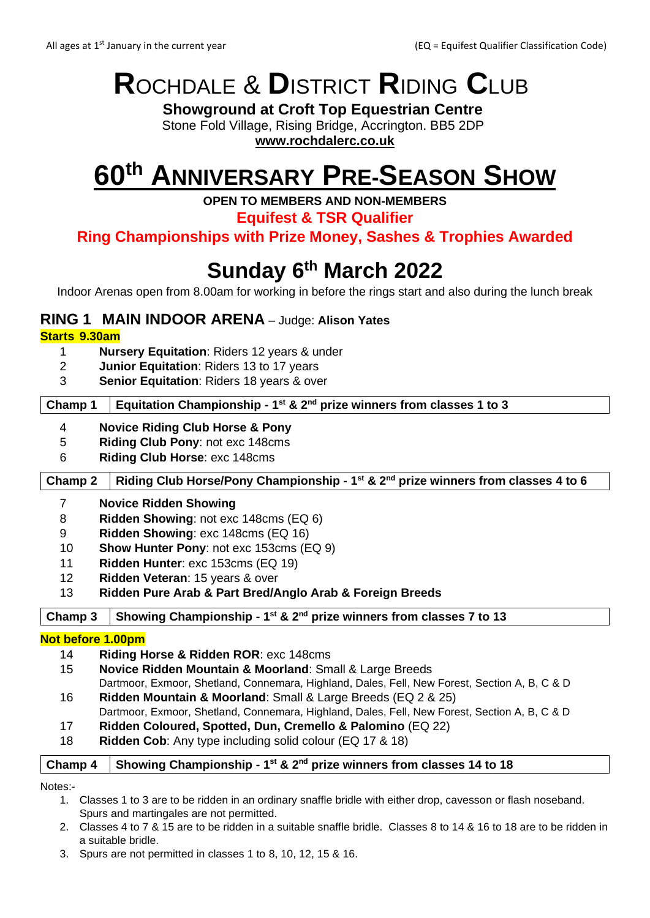# **R**OCHDALE & **D**ISTRICT **R**IDING **C**LUB

**Showground at Croft Top Equestrian Centre** Stone Fold Village, Rising Bridge, Accrington. BB5 2DP

**[www.rochdalerc.co.uk](http://www.rochdalerc.co.uk/)**

# **60th ANNIVERSARY PRE-SEASON SHOW**

**OPEN TO MEMBERS AND NON-MEMBERS**

**Equifest & TSR Qualifier**

**Ring Championships with Prize Money, Sashes & Trophies Awarded**

## **Sunday 6 th March 2022**

Indoor Arenas open from 8.00am for working in before the rings start and also during the lunch break

#### **RING 1 MAIN INDOOR ARENA** – Judge: **Alison Yates**

#### **Starts 9.30am**

- 1 **Nursery Equitation**: Riders 12 years & under
- 2 **Junior Equitation**: Riders 13 to 17 years
- 3 **Senior Equitation**: Riders 18 years & over

#### **Champ 1 Equitation Championship - 1 st & 2nd prize winners from classes 1 to 3**

- 4 **Novice Riding Club Horse & Pony**
- 5 **Riding Club Pony**: not exc 148cms
- 6 **Riding Club Horse**: exc 148cms

#### **Champ 2 Riding Club Horse/Pony Championship - 1 st & 2nd prize winners from classes 4 to 6**

#### 7 **Novice Ridden Showing**

- 8 **Ridden Showing**: not exc 148cms (EQ 6)
- 9 **Ridden Showing**: exc 148cms (EQ 16)
- 10 **Show Hunter Pony**: not exc 153cms (EQ 9)
- 11 **Ridden Hunter**: exc 153cms (EQ 19)
- 12 **Ridden Veteran**: 15 years & over
- 13 **Ridden Pure Arab & Part Bred/Anglo Arab & Foreign Breeds**

**Champ 3 Showing Championship - 1 st & 2nd prize winners from classes 7 to 13**

#### **Not before 1.00pm**

- 14 **Riding Horse & Ridden ROR**: exc 148cms
- 15 **Novice Ridden Mountain & Moorland**: Small & Large Breeds
- Dartmoor, Exmoor, Shetland, Connemara, Highland, Dales, Fell, New Forest, Section A, B, C & D 16 **Ridden Mountain & Moorland**: Small & Large Breeds (EQ 2 & 25)
	- Dartmoor, Exmoor, Shetland, Connemara, Highland, Dales, Fell, New Forest, Section A, B, C & D
- 17 **Ridden Coloured, Spotted, Dun, Cremello & Palomino** (EQ 22)
- 18 **Ridden Cob**: Any type including solid colour (EQ 17 & 18)

#### **Champ 4 Showing Championship - 1 st & 2nd prize winners from classes 14 to 18**

Notes:-

- 1. Classes 1 to 3 are to be ridden in an ordinary snaffle bridle with either drop, cavesson or flash noseband. Spurs and martingales are not permitted.
- 2. Classes 4 to 7 & 15 are to be ridden in a suitable snaffle bridle. Classes 8 to 14 & 16 to 18 are to be ridden in a suitable bridle.
- 3. Spurs are not permitted in classes 1 to 8, 10, 12, 15 & 16.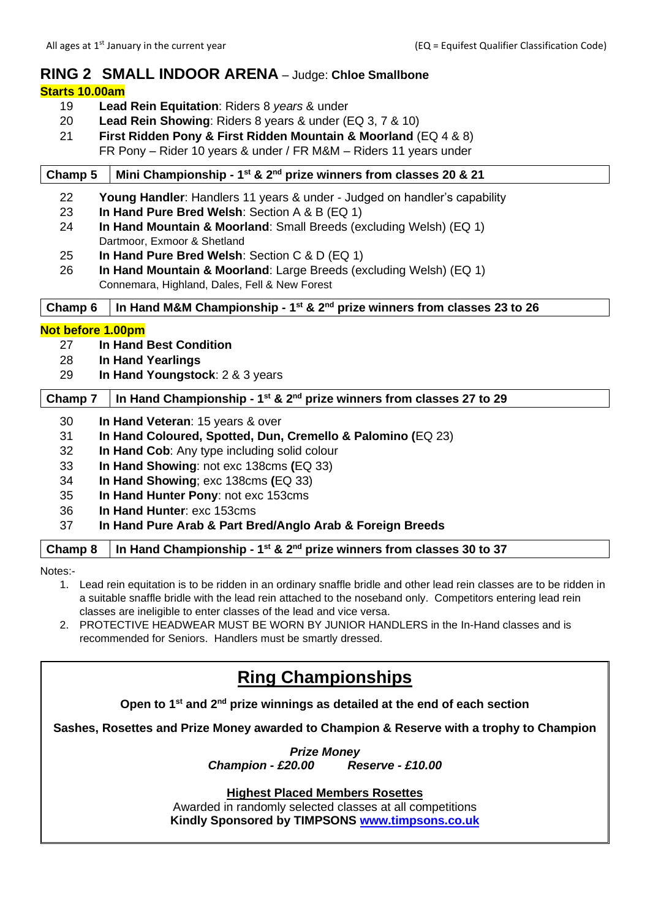#### **RING 2 SMALL INDOOR ARENA** – Judge: **Chloe Smallbone**

#### **Starts 10.00am**

- 19 **Lead Rein Equitation**: Riders 8 *years* & under
- 20 **Lead Rein Showing**: Riders 8 years & under (EQ 3, 7 & 10)
- 21 **First Ridden Pony & First Ridden Mountain & Moorland** (EQ 4 & 8) FR Pony – Rider 10 years & under / FR M&M – Riders 11 years under

#### **Champ 5 Mini Championship - 1 st & 2nd prize winners from classes 20 & 21**

| 22                                            | <b>Young Handler:</b> Handlers 11 years & under - Judged on handler's capability |                                                                                              |  |  |  |
|-----------------------------------------------|----------------------------------------------------------------------------------|----------------------------------------------------------------------------------------------|--|--|--|
| 23                                            | In Hand Pure Bred Welsh: Section A & B (EQ 1)                                    |                                                                                              |  |  |  |
| 24                                            | In Hand Mountain & Moorland: Small Breeds (excluding Welsh) (EQ 1)               |                                                                                              |  |  |  |
|                                               | Dartmoor, Exmoor & Shetland                                                      |                                                                                              |  |  |  |
| 25                                            | In Hand Pure Bred Welsh: Section C & D (EQ 1)                                    |                                                                                              |  |  |  |
| 26                                            | In Hand Mountain & Moorland: Large Breeds (excluding Welsh) (EQ 1)               |                                                                                              |  |  |  |
| Connemara, Highland, Dales, Fell & New Forest |                                                                                  |                                                                                              |  |  |  |
| Champ <sub>6</sub>                            |                                                                                  | In Hand M&M Championship - $1^{st}$ & $2^{nd}$ prize winners from classes 23 to 26           |  |  |  |
|                                               |                                                                                  |                                                                                              |  |  |  |
| Not before 1.00pm                             |                                                                                  |                                                                                              |  |  |  |
| 27                                            |                                                                                  | <b>In Hand Best Condition</b>                                                                |  |  |  |
| 28                                            |                                                                                  | In Hand Yearlings                                                                            |  |  |  |
| 29                                            | In Hand Youngstock: 2 & 3 years                                                  |                                                                                              |  |  |  |
| Champ 7                                       |                                                                                  | In Hand Championship - 1 <sup>st</sup> & 2 <sup>nd</sup> prize winners from classes 27 to 29 |  |  |  |
| 30                                            |                                                                                  | In Hand Veteran: 15 years & over                                                             |  |  |  |

- 31 **In Hand Coloured, Spotted, Dun, Cremello & Palomino (**EQ 23)
- 32 **In Hand Cob**: Any type including solid colour
- 33 **In Hand Showing**: not exc 138cms **(**EQ 33)
- 34 **In Hand Showing**; exc 138cms **(**EQ 33)
- 35 **In Hand Hunter Pony**: not exc 153cms
- 36 **In Hand Hunter**: exc 153cms

#### 37 **In Hand Pure Arab & Part Bred/Anglo Arab & Foreign Breeds**

#### **Champ 8 In Hand Championship - 1 st & 2nd prize winners from classes 30 to 37**

Notes:-

- 1. Lead rein equitation is to be ridden in an ordinary snaffle bridle and other lead rein classes are to be ridden in a suitable snaffle bridle with the lead rein attached to the noseband only. Competitors entering lead rein classes are ineligible to enter classes of the lead and vice versa.
- 2. PROTECTIVE HEADWEAR MUST BE WORN BY JUNIOR HANDLERS in the In-Hand classes and is recommended for Seniors. Handlers must be smartly dressed.

### **Ring Championships**

**Open to 1st and 2nd prize winnings as detailed at the end of each section**

**Sashes, Rosettes and Prize Money awarded to Champion & Reserve with a trophy to Champion**

*Prize Money Champion - £20.00 Reserve - £10.00*

**Highest Placed Members Rosettes**

Awarded in randomly selected classes at all competitions **Kindly Sponsored by TIMPSONS [www.timpsons.co.uk](http://www.timpsons.co.uk/)**